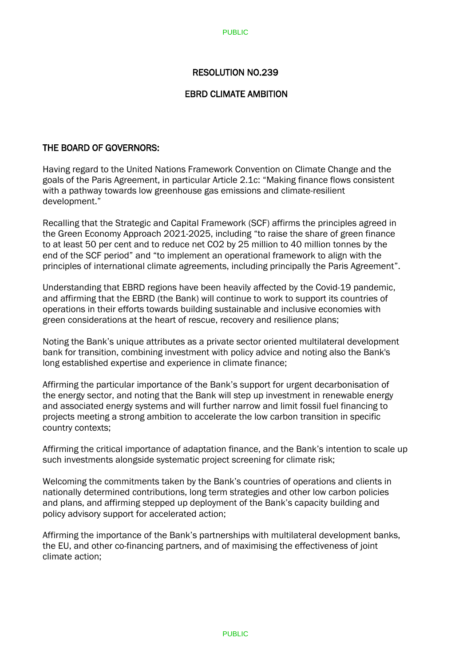## RESOLUTION NO.239

## EBRD CLIMATE AMBITION

## THE BOARD OF GOVERNORS:

Having regard to the United Nations Framework Convention on Climate Change and the goals of the Paris Agreement, in particular Article 2.1c: "Making finance flows consistent with a pathway towards low greenhouse gas emissions and climate-resilient development."

Recalling that the Strategic and Capital Framework (SCF) affirms the principles agreed in the Green Economy Approach 2021-2025, including "to raise the share of green finance to at least 50 per cent and to reduce net CO2 by 25 million to 40 million tonnes by the end of the SCF period" and "to implement an operational framework to align with the principles of international climate agreements, including principally the Paris Agreement".

Understanding that EBRD regions have been heavily affected by the Covid-19 pandemic, and affirming that the EBRD (the Bank) will continue to work to support its countries of operations in their efforts towards building sustainable and inclusive economies with green considerations at the heart of rescue, recovery and resilience plans;

Noting the Bank's unique attributes as a private sector oriented multilateral development bank for transition, combining investment with policy advice and noting also the Bank's long established expertise and experience in climate finance;

Affirming the particular importance of the Bank's support for urgent decarbonisation of the energy sector, and noting that the Bank will step up investment in renewable energy and associated energy systems and will further narrow and limit fossil fuel financing to projects meeting a strong ambition to accelerate the low carbon transition in specific country contexts;

Affirming the critical importance of adaptation finance, and the Bank's intention to scale up such investments alongside systematic project screening for climate risk;

Welcoming the commitments taken by the Bank's countries of operations and clients in nationally determined contributions, long term strategies and other low carbon policies and plans, and affirming stepped up deployment of the Bank's capacity building and policy advisory support for accelerated action;

Affirming the importance of the Bank's partnerships with multilateral development banks, the EU, and other co-financing partners, and of maximising the effectiveness of joint climate action;